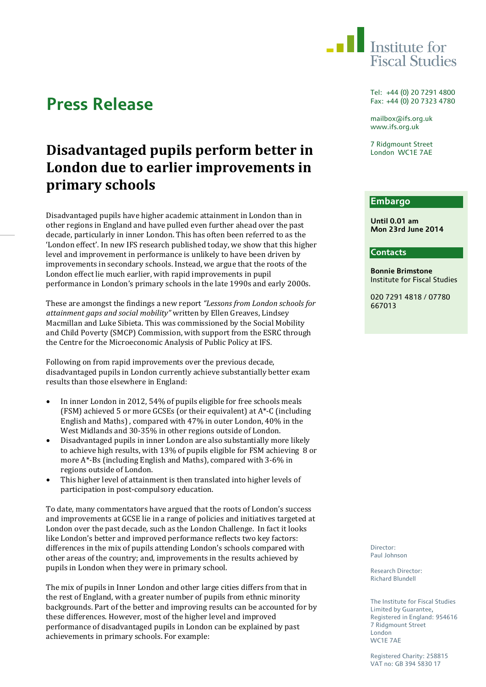

# **Press Release**

# **Disadvantaged pupils perform better in London due to earlier improvements in primary schools**

Disadvantaged pupils have higher academic attainment in London than in other regions in England and have pulled even further ahead over the past decade, particularly in inner London. This has often been referred to as the 'London effect'. In new IFS research published today, we show that this higher level and improvement in performance is unlikely to have been driven by improvements in secondary schools. Instead, we argue that the roots of the London effect lie much earlier, with rapid improvements in pupil performance in London's primary schools in the late 1990s and early 2000s.

These are amongst the findings a new report *"Lessons from London schools for attainment gaps and social mobility"* written by Ellen Greaves, Lindsey Macmillan and Luke Sibieta. This was commissioned by the Social Mobility and Child Poverty (SMCP) Commission, with support from the ESRC through the Centre for the Microeconomic Analysis of Public Policy at IFS.

Following on from rapid improvements over the previous decade, disadvantaged pupils in London currently achieve substantially better exam results than those elsewhere in England:

- In inner London in 2012, 54% of pupils eligible for free schools meals (FSM) achieved 5 or more GCSEs (or their equivalent) at A\*-C (including English and Maths) , compared with 47% in outer London, 40% in the West Midlands and 30-35% in other regions outside of London.
- Disadvantaged pupils in inner London are also substantially more likely to achieve high results, with 13% of pupils eligible for FSM achieving 8 or more A\*-Bs (including English and Maths), compared with 3-6% in regions outside of London.
- This higher level of attainment is then translated into higher levels of participation in post-compulsory education.

To date, many commentators have argued that the roots of London's success and improvements at GCSE lie in a range of policies and initiatives targeted at London over the past decade, such as the London Challenge. In fact it looks like London's better and improved performance reflects two key factors: differences in the mix of pupils attending London's schools compared with other areas of the country; and, improvements in the results achieved by pupils in London when they were in primary school.

The mix of pupils in Inner London and other large cities differs from that in the rest of England, with a greater number of pupils from ethnic minority backgrounds. Part of the better and improving results can be accounted for by these differences. However, most of the higher level and improved performance of disadvantaged pupils in London can be explained by past achievements in primary schools. For example:

Tel: +44 (0) 20 7291 4800 Fax: +44 (0) 20 7323 4780

mailbox@ifs.org.uk www.ifs.org.uk

7 Ridgmount Street London WC1E 7AE

## **Embargo**

**Until 0.01 am Mon 23rd June 2014**

#### **Contacts**

**Bonnie Brimstone** Institute for Fiscal Studies

020 7291 4818 / 07780 667013

Director: Paul Johnson

Research Director: Richard Blundell

The Institute for Fiscal Studies Limited by Guarantee, Registered in England: 954616 7 Ridgmount Street London WC1E 7AE

Registered Charity: 258815 VAT no: GB 394 5830 17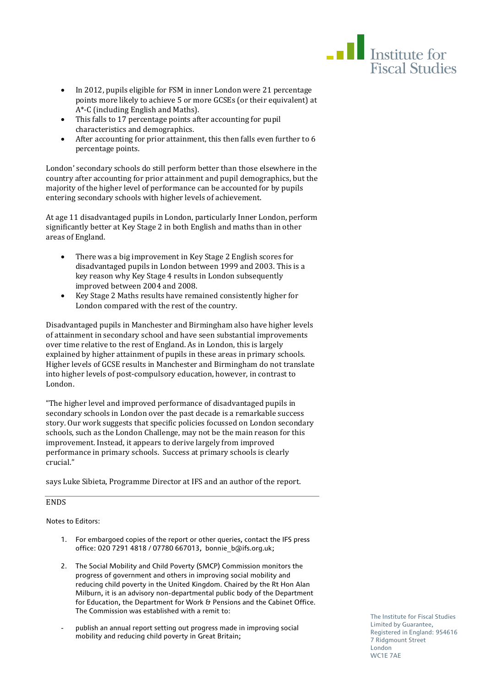

- In 2012, pupils eligible for FSM in inner London were 21 percentage points more likely to achieve 5 or more GCSEs (or their equivalent) at A\*-C (including English and Maths).
- This falls to 17 percentage points after accounting for pupil characteristics and demographics.
- After accounting for prior attainment, this then falls even further to 6 percentage points.

London' secondary schools do still perform better than those elsewhere in the country after accounting for prior attainment and pupil demographics, but the majority of the higher level of performance can be accounted for by pupils entering secondary schools with higher levels of achievement.

At age 11 disadvantaged pupils in London, particularly Inner London, perform significantly better at Key Stage 2 in both English and maths than in other areas of England.

- There was a big improvement in Key Stage 2 English scores for disadvantaged pupils in London between 1999 and 2003. This is a key reason why Key Stage 4 results in London subsequently improved between 2004 and 2008.
- Key Stage 2 Maths results have remained consistently higher for London compared with the rest of the country.

Disadvantaged pupils in Manchester and Birmingham also have higher levels of attainment in secondary school and have seen substantial improvements over time relative to the rest of England. As in London, this is largely explained by higher attainment of pupils in these areas in primary schools. Higher levels of GCSE results in Manchester and Birmingham do not translate into higher levels of post-compulsory education, however, in contrast to London.

"The higher level and improved performance of disadvantaged pupils in secondary schools in London over the past decade is a remarkable success story. Our work suggests that specific policies focussed on London secondary schools, such as the London Challenge, may not be the main reason for this improvement. Instead, it appears to derive largely from improved performance in primary schools. Success at primary schools is clearly crucial."

says Luke Sibieta, Programme Director at IFS and an author of the report.

### **ENDS**

Notes to Editors:

- 1. For embargoed copies of the report or other queries, contact the IFS press office: 020 7291 4818 / 07780 667013, bonnie\_b@ifs.org.uk;
- 2. The Social Mobility and Child Poverty (SMCP) Commission monitors the progress of government and others in improving social mobility and reducing child poverty in the United Kingdom. Chaired by the Rt Hon Alan Milburn, it is an advisory non-departmental public body of the Department for Education, the Department for Work & Pensions and the Cabinet Office. The Commission was established with a remit to:
- publish an annual report setting out progress made in improving social mobility and reducing child poverty in Great Britain;

The Institute for Fiscal Studies Limited by Guarantee, Registered in England: 954616 7 Ridgmount Street London WC1E 7AE